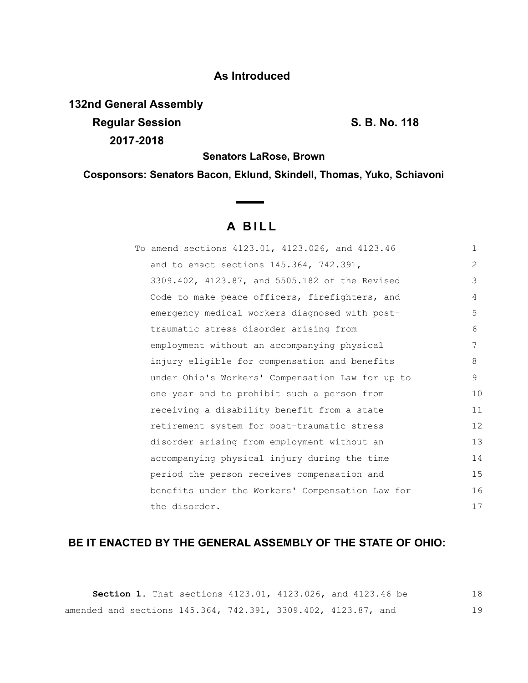## **As Introduced**

**132nd General Assembly Regular Session S. B. No. 118 2017-2018**

**Senators LaRose, Brown**

**Cosponsors: Senators Bacon, Eklund, Skindell, Thomas, Yuko, Schiavoni**

# **A B I L L**

| To amend sections 4123.01, 4123.026, and 4123.46 | $\mathbf{1}$   |
|--------------------------------------------------|----------------|
| and to enact sections 145.364, 742.391,          | $\overline{2}$ |
| 3309.402, 4123.87, and 5505.182 of the Revised   | 3              |
| Code to make peace officers, firefighters, and   | 4              |
| emergency medical workers diagnosed with post-   | 5              |
| traumatic stress disorder arising from           | 6              |
| employment without an accompanying physical      | 7              |
| injury eligible for compensation and benefits    | 8              |
| under Ohio's Workers' Compensation Law for up to | 9              |
| one year and to prohibit such a person from      | 10             |
| receiving a disability benefit from a state      | 11             |
| retirement system for post-traumatic stress      | 12             |
| disorder arising from employment without an      | 13             |
| accompanying physical injury during the time     | 14             |
| period the person receives compensation and      | 15             |
| benefits under the Workers' Compensation Law for | 16             |
| the disorder.                                    | 17             |

## **BE IT ENACTED BY THE GENERAL ASSEMBLY OF THE STATE OF OHIO:**

**Section 1.** That sections 4123.01, 4123.026, and 4123.46 be amended and sections 145.364, 742.391, 3309.402, 4123.87, and 18 19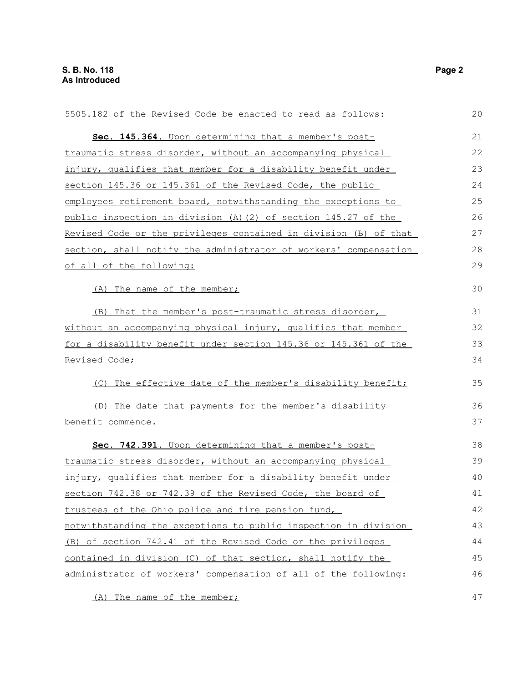| 5505.182 of the Revised Code be enacted to read as follows:      | 20 |
|------------------------------------------------------------------|----|
| Sec. 145.364. Upon determining that a member's post-             | 21 |
| traumatic stress disorder, without an accompanying physical      | 22 |
| injury, qualifies that member for a disability benefit under     | 23 |
| section 145.36 or 145.361 of the Revised Code, the public        | 24 |
| employees retirement board, notwithstanding the exceptions to    | 25 |
| public inspection in division (A) (2) of section 145.27 of the   | 26 |
| Revised Code or the privileges contained in division (B) of that | 27 |
| section, shall notify the administrator of workers' compensation | 28 |
| of all of the following:                                         | 29 |
| (A) The name of the member;                                      | 30 |
| (B) That the member's post-traumatic stress disorder,            | 31 |
| without an accompanying physical injury, qualifies that member   | 32 |
| for a disability benefit under section 145.36 or 145.361 of the  | 33 |
| Revised Code;                                                    | 34 |
| The effective date of the member's disability benefit;<br>(C)    | 35 |
| (D) The date that payments for the member's disability           | 36 |
| benefit commence.                                                | 37 |
| Sec. 742.391. Upon determining that a member's post-             | 38 |
| traumatic stress disorder, without an accompanying physical      | 39 |
| injury, qualifies that member for a disability benefit under     | 40 |
| section 742.38 or 742.39 of the Revised Code, the board of       | 41 |
| trustees of the Ohio police and fire pension fund,               | 42 |
| notwithstanding the exceptions to public inspection in division  | 43 |
| (B) of section 742.41 of the Revised Code or the privileges      | 44 |
| contained in division (C) of that section, shall notify the      | 45 |
| administrator of workers' compensation of all of the following:  | 46 |
| (A) The name of the member;                                      | 47 |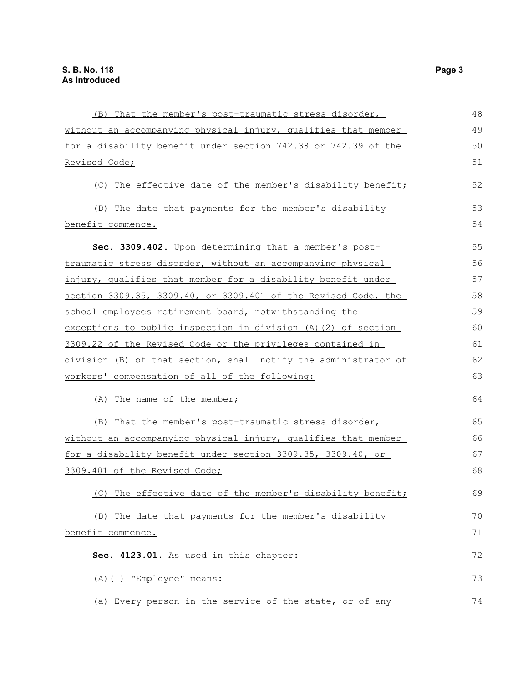| (B) That the member's post-traumatic stress disorder,              | 48 |
|--------------------------------------------------------------------|----|
| without an accompanying physical injury, qualifies that member     | 49 |
| for a disability benefit under section 742.38 or 742.39 of the     | 50 |
| Revised Code;                                                      | 51 |
| (C) The effective date of the member's disability benefit;         | 52 |
| (D) The date that payments for the member's disability             | 53 |
| benefit commence.                                                  | 54 |
| Sec. 3309.402. Upon determining that a member's post-              | 55 |
| <u>traumatic stress disorder, without an accompanying physical</u> | 56 |
| injury, qualifies that member for a disability benefit under       | 57 |
| section 3309.35, 3309.40, or 3309.401 of the Revised Code, the     | 58 |
| school employees retirement board, notwithstanding the             | 59 |
| exceptions to public inspection in division (A)(2) of section      | 60 |
| 3309.22 of the Revised Code or the privileges contained in         | 61 |
| division (B) of that section, shall notify the administrator of    | 62 |
| workers' compensation of all of the following:                     | 63 |
| (A) The name of the member;                                        | 64 |
| (B) That the member's post-traumatic stress disorder,              | 65 |
| without an accompanying physical injury, qualifies that member     | 66 |
| for a disability benefit under section 3309.35, 3309.40, or        | 67 |
| 3309.401 of the Revised Code;                                      | 68 |
| (C) The effective date of the member's disability benefit;         | 69 |
| (D) The date that payments for the member's disability             | 70 |
| benefit commence.                                                  | 71 |
| Sec. 4123.01. As used in this chapter:                             | 72 |
| (A) (1) "Employee" means:                                          | 73 |
| (a) Every person in the service of the state, or of any            | 74 |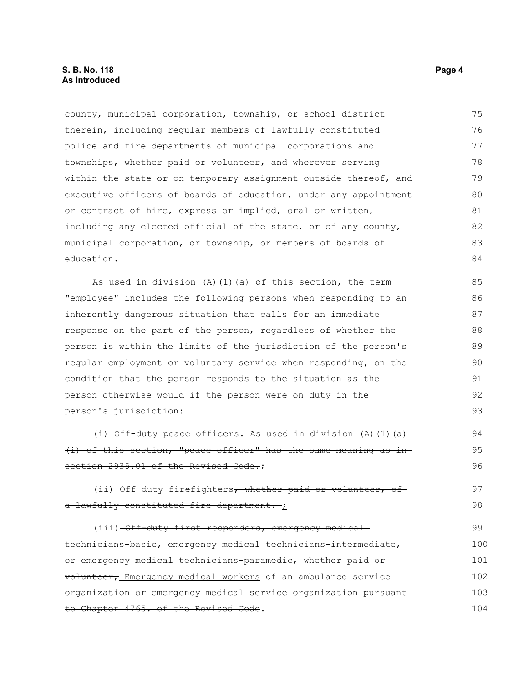#### **S. B. No. 118 Page 4 As Introduced**

county, municipal corporation, township, or school district therein, including regular members of lawfully constituted police and fire departments of municipal corporations and townships, whether paid or volunteer, and wherever serving within the state or on temporary assignment outside thereof, and executive officers of boards of education, under any appointment or contract of hire, express or implied, oral or written, including any elected official of the state, or of any county, municipal corporation, or township, or members of boards of education. 75 76 77 78 79 80 81 82 83 84

As used in division (A)(1)(a) of this section, the term "employee" includes the following persons when responding to an inherently dangerous situation that calls for an immediate response on the part of the person, regardless of whether the person is within the limits of the jurisdiction of the person's regular employment or voluntary service when responding, on the condition that the person responds to the situation as the person otherwise would if the person were on duty in the person's jurisdiction:

(i) Off-duty peace officers. As used in division  $(A)$   $(1)$   $(a)$ (i) of this section, "peace officer" has the same meaning as in section 2935.01 of the Revised Code.;

(ii) Off-duty firefighters, whether paid or volunteer, of a lawfully constituted fire department. ;

(iii)  $-\theta$ ff-duty first responders, emergency medicaltechnicians-basic, emergency medical technicians-intermediate, or emergency medical technicians-paramedic, whether paid or volunteer, Emergency medical workers of an ambulance service organization or emergency medical service organization-pursuantto Chapter 4765. of the Revised Code. 99 100 101 102 103 104

94 95 96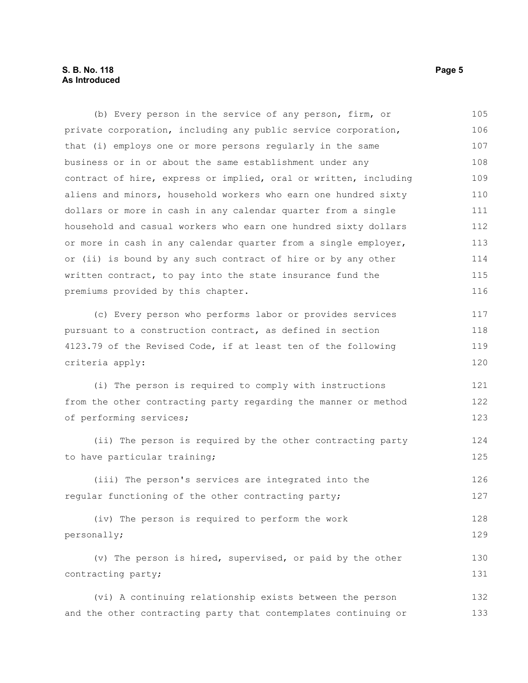### **S. B. No. 118 Page 5 As Introduced**

| (b) Every person in the service of any person, firm, or          | 105 |
|------------------------------------------------------------------|-----|
| private corporation, including any public service corporation,   | 106 |
| that (i) employs one or more persons regularly in the same       | 107 |
| business or in or about the same establishment under any         | 108 |
| contract of hire, express or implied, oral or written, including | 109 |
| aliens and minors, household workers who earn one hundred sixty  | 110 |
| dollars or more in cash in any calendar quarter from a single    | 111 |
| household and casual workers who earn one hundred sixty dollars  | 112 |
| or more in cash in any calendar quarter from a single employer,  | 113 |
| or (ii) is bound by any such contract of hire or by any other    | 114 |
| written contract, to pay into the state insurance fund the       | 115 |
| premiums provided by this chapter.                               | 116 |
| (c) Every person who performs labor or provides services         | 117 |
| pursuant to a construction contract, as defined in section       | 118 |
| 4123.79 of the Revised Code, if at least ten of the following    | 119 |
| criteria apply:                                                  | 120 |
| (i) The person is required to comply with instructions           | 121 |
| from the other contracting party regarding the manner or method  | 122 |
| of performing services;                                          | 123 |
| (ii) The person is required by the other contracting party       | 124 |
| to have particular training;                                     | 125 |
| (iii) The person's services are integrated into the              | 126 |
| regular functioning of the other contracting party;              | 127 |
| (iv) The person is required to perform the work                  | 128 |
| personally;                                                      | 129 |
| (v) The person is hired, supervised, or paid by the other        | 130 |
| contracting party;                                               | 131 |
| (vi) A continuing relationship exists between the person         | 132 |
| and the other contracting party that contemplates continuing or  | 133 |
|                                                                  |     |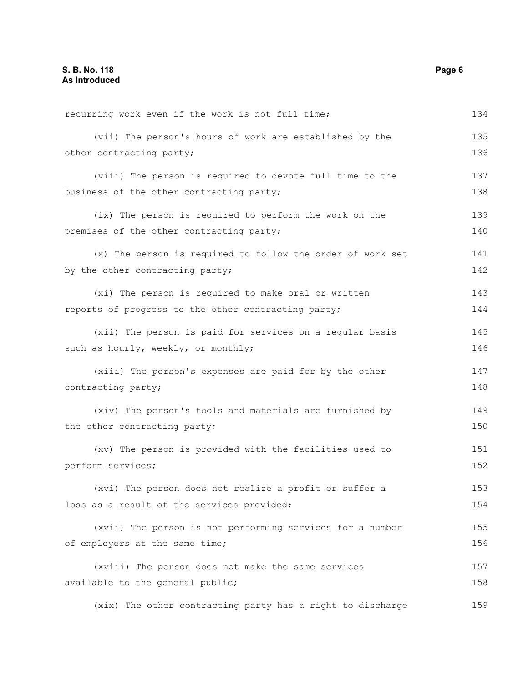| recurring work even if the work is not full time;          | 134 |
|------------------------------------------------------------|-----|
| (vii) The person's hours of work are established by the    | 135 |
| other contracting party;                                   | 136 |
| (viii) The person is required to devote full time to the   | 137 |
| business of the other contracting party;                   | 138 |
| (ix) The person is required to perform the work on the     | 139 |
| premises of the other contracting party;                   | 140 |
| (x) The person is required to follow the order of work set | 141 |
| by the other contracting party;                            | 142 |
| (xi) The person is required to make oral or written        | 143 |
| reports of progress to the other contracting party;        | 144 |
| (xii) The person is paid for services on a regular basis   | 145 |
| such as hourly, weekly, or monthly;                        | 146 |
| (xiii) The person's expenses are paid for by the other     | 147 |
| contracting party;                                         | 148 |
| (xiv) The person's tools and materials are furnished by    | 149 |
| the other contracting party;                               | 150 |
| (xv) The person is provided with the facilities used to    | 151 |
| perform services;                                          | 152 |
| (xvi) The person does not realize a profit or suffer a     | 153 |
| loss as a result of the services provided;                 | 154 |
| (xvii) The person is not performing services for a number  | 155 |
| of employers at the same time;                             | 156 |
| (xviii) The person does not make the same services         | 157 |
| available to the general public;                           | 158 |
| (xix) The other contracting party has a right to discharge | 159 |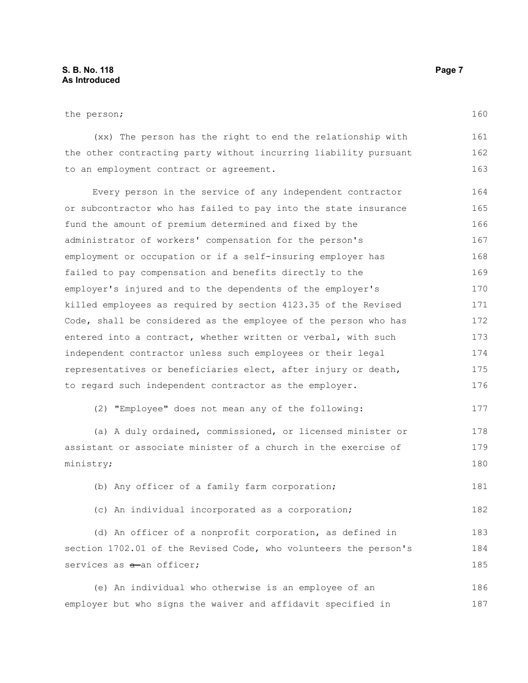(xx) The person has the right to end the relationship with the other contracting party without incurring liability pursuant to an employment contract or agreement. 161 162 163

Every person in the service of any independent contractor or subcontractor who has failed to pay into the state insurance fund the amount of premium determined and fixed by the administrator of workers' compensation for the person's employment or occupation or if a self-insuring employer has failed to pay compensation and benefits directly to the employer's injured and to the dependents of the employer's killed employees as required by section 4123.35 of the Revised Code, shall be considered as the employee of the person who has entered into a contract, whether written or verbal, with such independent contractor unless such employees or their legal representatives or beneficiaries elect, after injury or death, to regard such independent contractor as the employer. 164 165 166 167 168 169 170 171 172 173 174 175 176

(2) "Employee" does not mean any of the following:

(a) A duly ordained, commissioned, or licensed minister or assistant or associate minister of a church in the exercise of ministry; 178 179 180

(b) Any officer of a family farm corporation;

(c) An individual incorporated as a corporation;

(d) An officer of a nonprofit corporation, as defined in section 1702.01 of the Revised Code, who volunteers the person's services as  $a$ -an officer; 183 184 185

(e) An individual who otherwise is an employee of an employer but who signs the waiver and affidavit specified in 186 187

160

177

181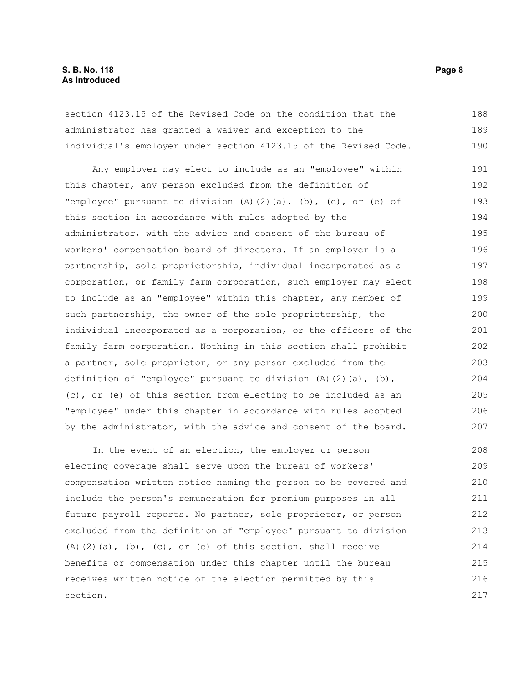#### **S. B. No. 118 Page 8 As Introduced**

section 4123.15 of the Revised Code on the condition that the administrator has granted a waiver and exception to the individual's employer under section 4123.15 of the Revised Code. 188 189 190

Any employer may elect to include as an "employee" within this chapter, any person excluded from the definition of "employee" pursuant to division  $(A)$   $(2)$   $(a)$ ,  $(b)$ ,  $(c)$ , or  $(e)$  of this section in accordance with rules adopted by the administrator, with the advice and consent of the bureau of workers' compensation board of directors. If an employer is a partnership, sole proprietorship, individual incorporated as a corporation, or family farm corporation, such employer may elect to include as an "employee" within this chapter, any member of such partnership, the owner of the sole proprietorship, the individual incorporated as a corporation, or the officers of the family farm corporation. Nothing in this section shall prohibit a partner, sole proprietor, or any person excluded from the definition of "employee" pursuant to division  $(A)$   $(2)$   $(a)$ ,  $(b)$ , (c), or (e) of this section from electing to be included as an "employee" under this chapter in accordance with rules adopted by the administrator, with the advice and consent of the board. 191 192 193 194 195 196 197 198 199 200 201 202 203 204 205 206 207

In the event of an election, the employer or person electing coverage shall serve upon the bureau of workers' compensation written notice naming the person to be covered and include the person's remuneration for premium purposes in all future payroll reports. No partner, sole proprietor, or person excluded from the definition of "employee" pursuant to division (A)(2)(a), (b), (c), or (e) of this section, shall receive benefits or compensation under this chapter until the bureau receives written notice of the election permitted by this section. 208 209 210 211 212 213 214 215 216 217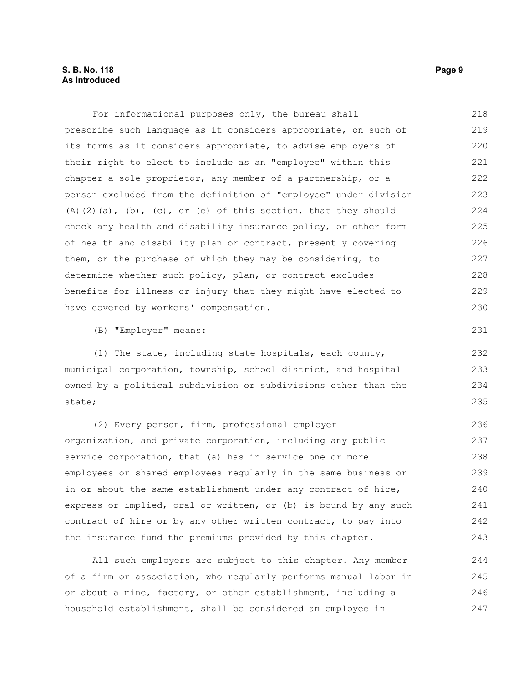| For informational purposes only, the bureau shall                              | 218 |
|--------------------------------------------------------------------------------|-----|
| prescribe such language as it considers appropriate, on such of                | 219 |
| its forms as it considers appropriate, to advise employers of                  | 220 |
| their right to elect to include as an "employee" within this                   | 221 |
| chapter a sole proprietor, any member of a partnership, or a                   | 222 |
| person excluded from the definition of "employee" under division               | 223 |
| $(A)$ $(2)$ $(a)$ , $(b)$ , $(c)$ , or $(e)$ of this section, that they should | 224 |
| check any health and disability insurance policy, or other form                | 225 |
| of health and disability plan or contract, presently covering                  | 226 |
| them, or the purchase of which they may be considering, to                     | 227 |
| determine whether such policy, plan, or contract excludes                      | 228 |
| benefits for illness or injury that they might have elected to                 | 229 |
| have covered by workers' compensation.                                         | 230 |
| (B) "Employer" means:                                                          | 231 |
| (1) The state, including state hospitals, each county,                         | 232 |
| municipal corporation, township, school district, and hospital                 | 233 |
| owned by a political subdivision or subdivisions other than the                | 234 |
| state;                                                                         | 235 |
| (2) Every person, firm, professional employer                                  | 236 |
| organization, and private corporation, including any public                    | 237 |
| service corporation, that (a) has in service one or more                       | 238 |
| employees or shared employees regularly in the same business or                | 239 |
| in or about the same establishment under any contract of hire,                 | 240 |
| express or implied, oral or written, or (b) is bound by any such               | 241 |
| contract of hire or by any other written contract, to pay into                 | 242 |
| the insurance fund the premiums provided by this chapter.                      | 243 |

All such employers are subject to this chapter. Any member of a firm or association, who regularly performs manual labor in or about a mine, factory, or other establishment, including a household establishment, shall be considered an employee in 244 245 246 247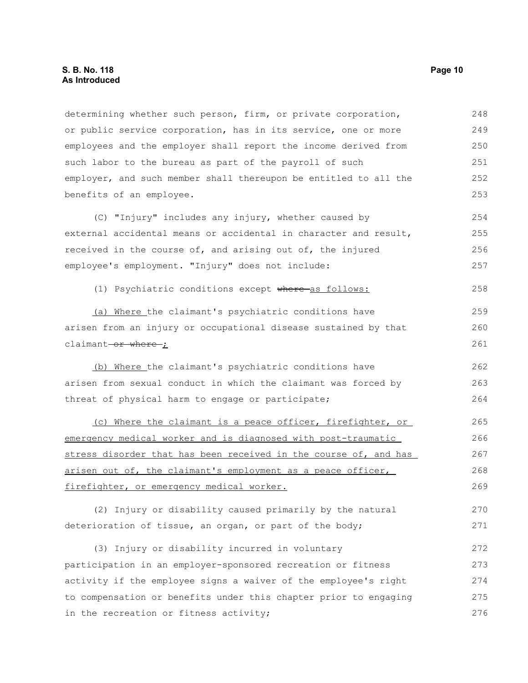#### **S. B. No. 118 Page 10 As Introduced**

determining whether such person, firm, or private corporation, or public service corporation, has in its service, one or more employees and the employer shall report the income derived from such labor to the bureau as part of the payroll of such employer, and such member shall thereupon be entitled to all the benefits of an employee. 248 249 250 251 252 253

(C) "Injury" includes any injury, whether caused by external accidental means or accidental in character and result, received in the course of, and arising out of, the injured employee's employment. "Injury" does not include: 254 255 256 257

(1) Psychiatric conditions except where-as follows: 258

(a) Where the claimant's psychiatric conditions have arisen from an injury or occupational disease sustained by that claimant-or where- $\dot{I}$ 

(b) Where the claimant's psychiatric conditions have arisen from sexual conduct in which the claimant was forced by threat of physical harm to engage or participate; 262 263 264

(c) Where the claimant is a peace officer, firefighter, or emergency medical worker and is diagnosed with post-traumatic stress disorder that has been received in the course of, and has arisen out of, the claimant's employment as a peace officer, firefighter, or emergency medical worker. 265 266 267 268 269

(2) Injury or disability caused primarily by the natural deterioration of tissue, an organ, or part of the body; 270 271

(3) Injury or disability incurred in voluntary participation in an employer-sponsored recreation or fitness activity if the employee signs a waiver of the employee's right to compensation or benefits under this chapter prior to engaging in the recreation or fitness activity; 272 273 274 275 276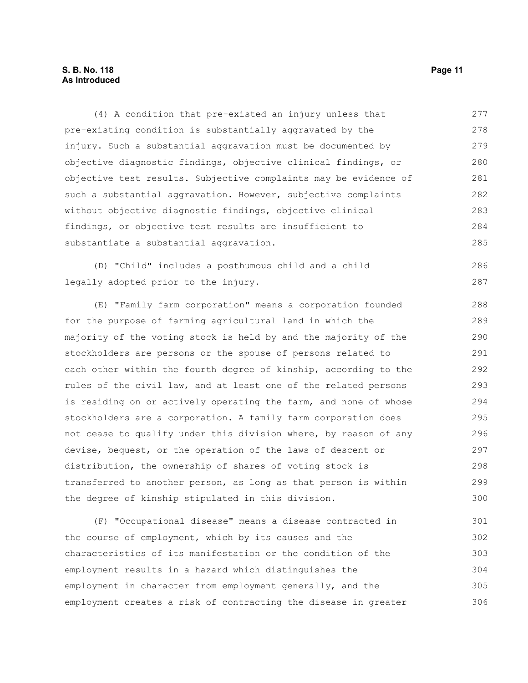#### **S. B. No. 118 Page 11 As Introduced**

(4) A condition that pre-existed an injury unless that pre-existing condition is substantially aggravated by the injury. Such a substantial aggravation must be documented by objective diagnostic findings, objective clinical findings, or objective test results. Subjective complaints may be evidence of such a substantial aggravation. However, subjective complaints without objective diagnostic findings, objective clinical findings, or objective test results are insufficient to substantiate a substantial aggravation. 277 278 279 280 281 282 283 284 285

(D) "Child" includes a posthumous child and a child legally adopted prior to the injury.

(E) "Family farm corporation" means a corporation founded for the purpose of farming agricultural land in which the majority of the voting stock is held by and the majority of the stockholders are persons or the spouse of persons related to each other within the fourth degree of kinship, according to the rules of the civil law, and at least one of the related persons is residing on or actively operating the farm, and none of whose stockholders are a corporation. A family farm corporation does not cease to qualify under this division where, by reason of any devise, bequest, or the operation of the laws of descent or distribution, the ownership of shares of voting stock is transferred to another person, as long as that person is within the degree of kinship stipulated in this division. 288 289 290 291 292 293 294 295 296 297 298 299 300

(F) "Occupational disease" means a disease contracted in the course of employment, which by its causes and the characteristics of its manifestation or the condition of the employment results in a hazard which distinguishes the employment in character from employment generally, and the employment creates a risk of contracting the disease in greater 301 302 303 304 305 306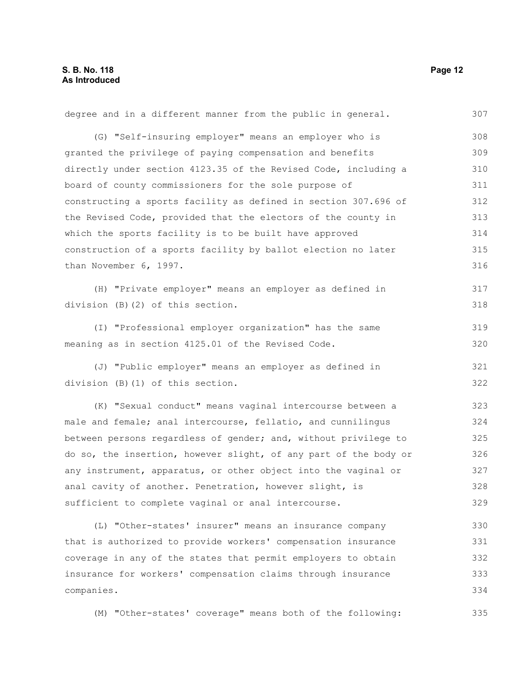companies.

degree and in a different manner from the public in general. (G) "Self-insuring employer" means an employer who is granted the privilege of paying compensation and benefits directly under section 4123.35 of the Revised Code, including a board of county commissioners for the sole purpose of constructing a sports facility as defined in section 307.696 of the Revised Code, provided that the electors of the county in which the sports facility is to be built have approved construction of a sports facility by ballot election no later than November 6, 1997. (H) "Private employer" means an employer as defined in division (B)(2) of this section. (I) "Professional employer organization" has the same meaning as in section 4125.01 of the Revised Code. (J) "Public employer" means an employer as defined in division (B)(1) of this section. (K) "Sexual conduct" means vaginal intercourse between a male and female; anal intercourse, fellatio, and cunnilingus between persons regardless of gender; and, without privilege to do so, the insertion, however slight, of any part of the body or any instrument, apparatus, or other object into the vaginal or anal cavity of another. Penetration, however slight, is sufficient to complete vaginal or anal intercourse. (L) "Other-states' insurer" means an insurance company that is authorized to provide workers' compensation insurance coverage in any of the states that permit employers to obtain insurance for workers' compensation claims through insurance 307 308 309 310 311 312 313 314 315 316 317 318 319 320 321 322 323 324 325 326 327 328 329 330 331 332 333

(M) "Other-states' coverage" means both of the following:

334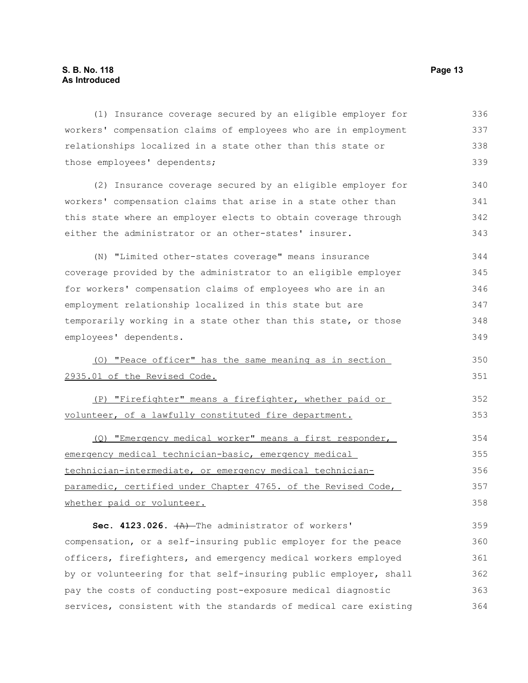(1) Insurance coverage secured by an eligible employer for workers' compensation claims of employees who are in employment relationships localized in a state other than this state or those employees' dependents; (2) Insurance coverage secured by an eligible employer for workers' compensation claims that arise in a state other than this state where an employer elects to obtain coverage through either the administrator or an other-states' insurer. (N) "Limited other-states coverage" means insurance coverage provided by the administrator to an eligible employer for workers' compensation claims of employees who are in an employment relationship localized in this state but are temporarily working in a state other than this state, or those employees' dependents. (O) "Peace officer" has the same meaning as in section 2935.01 of the Revised Code. (P) "Firefighter" means a firefighter, whether paid or volunteer, of a lawfully constituted fire department. (Q) "Emergency medical worker" means a first responder, emergency medical technician-basic, emergency medical technician-intermediate, or emergency medical technicianparamedic, certified under Chapter 4765. of the Revised Code, whether paid or volunteer. Sec. 4123.026.  $+A$ ) The administrator of workers' compensation, or a self-insuring public employer for the peace 336 337 338 339 340 341 342 343 344 345 346 347 348 349 350 351 352 353 354 355 356 357 358 359 360

officers, firefighters, and emergency medical workers employed by or volunteering for that self-insuring public employer, shall pay the costs of conducting post-exposure medical diagnostic services, consistent with the standards of medical care existing 361 362 363 364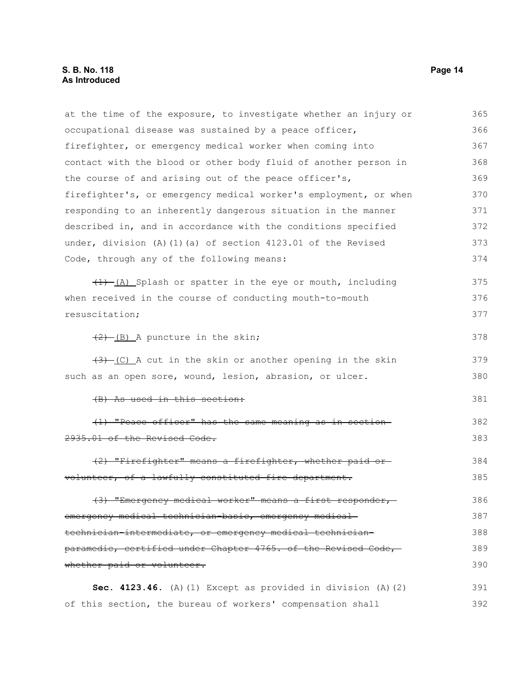#### **S. B. No. 118 Page 14 As Introduced**

at the time of the exposure, to investigate whether an injury or occupational disease was sustained by a peace officer, firefighter, or emergency medical worker when coming into contact with the blood or other body fluid of another person in the course of and arising out of the peace officer's, firefighter's, or emergency medical worker's employment, or when responding to an inherently dangerous situation in the manner described in, and in accordance with the conditions specified under, division (A)(1)(a) of section 4123.01 of the Revised Code, through any of the following means:  $(1)$  (A) Splash or spatter in the eye or mouth, including when received in the course of conducting mouth-to-mouth resuscitation;  $(2)$  (B) A puncture in the skin;  $(3)$  (C) A cut in the skin or another opening in the skin such as an open sore, wound, lesion, abrasion, or ulcer. (B) As used in this section: (1) "Peace officer" has the same meaning as in section 2935.01 of the Revised Code. (2) "Firefighter" means a firefighter, whether paid or volunteer, of a lawfully constituted fire department. (3) "Emergency medical worker" means a first responder, emergency medical technician-basic, emergency medical technician-intermediate, or emergency medical technicianparamedic, certified under Chapter 4765. of the Revised Code, whether paid or volunteer. **Sec. 4123.46.** (A)(1) Except as provided in division (A)(2) of this section, the bureau of workers' compensation shall 365 366 367 368 369 370 371 372 373 374 375 376 377 378 379 380 381 382 383 384 385 386 387 388 389 390 391 392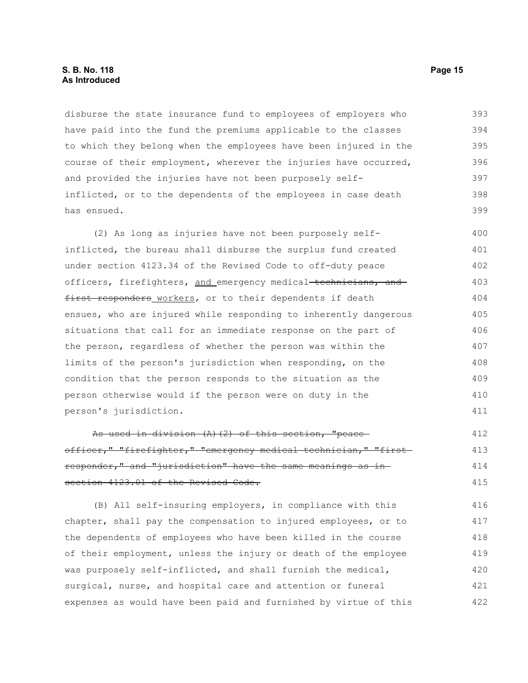#### **S. B. No. 118 Page 15 As Introduced**

disburse the state insurance fund to employees of employers who have paid into the fund the premiums applicable to the classes to which they belong when the employees have been injured in the course of their employment, wherever the injuries have occurred, and provided the injuries have not been purposely selfinflicted, or to the dependents of the employees in case death has ensued. 393 394 395 396 397 398 399

(2) As long as injuries have not been purposely selfinflicted, the bureau shall disburse the surplus fund created under section 4123.34 of the Revised Code to off-duty peace officers, firefighters, and emergency medical technicians, and first responders workers, or to their dependents if death ensues, who are injured while responding to inherently dangerous situations that call for an immediate response on the part of the person, regardless of whether the person was within the limits of the person's jurisdiction when responding, on the condition that the person responds to the situation as the person otherwise would if the person were on duty in the person's jurisdiction. 400 401 402 403 404 405 406 407 408 409 410 411

As used in division (A)(2) of this section, "peace officer," "firefighter," "emergency medical technician," "firstresponder," and "jurisdiction" have the same meanings as in section 4123.01 of the Revised Code. 412 413 414 415

(B) All self-insuring employers, in compliance with this chapter, shall pay the compensation to injured employees, or to the dependents of employees who have been killed in the course of their employment, unless the injury or death of the employee was purposely self-inflicted, and shall furnish the medical, surgical, nurse, and hospital care and attention or funeral expenses as would have been paid and furnished by virtue of this 416 417 418 419 420 421 422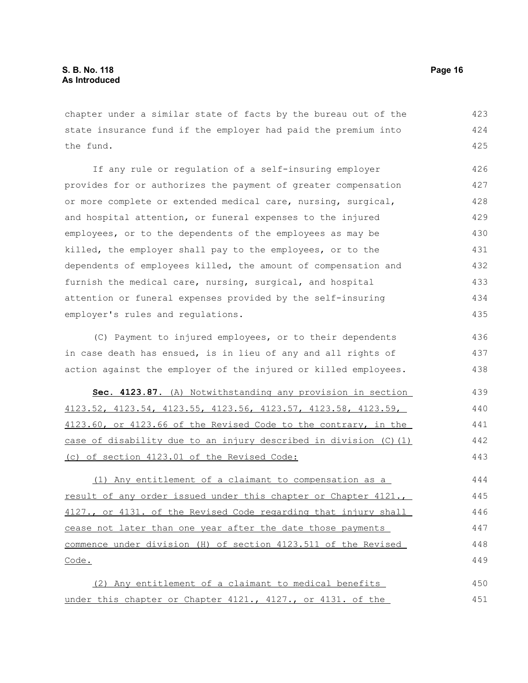chapter under a similar state of facts by the bureau out of the state insurance fund if the employer had paid the premium into the fund. 423 424 425

If any rule or regulation of a self-insuring employer provides for or authorizes the payment of greater compensation or more complete or extended medical care, nursing, surgical, and hospital attention, or funeral expenses to the injured employees, or to the dependents of the employees as may be killed, the employer shall pay to the employees, or to the dependents of employees killed, the amount of compensation and furnish the medical care, nursing, surgical, and hospital attention or funeral expenses provided by the self-insuring employer's rules and regulations. 426 427 428 429 430 431 432 433 434 435

(C) Payment to injured employees, or to their dependents in case death has ensued, is in lieu of any and all rights of action against the employer of the injured or killed employees. 436 437 438

 **Sec. 4123.87.** (A) Notwithstanding any provision in section 4123.52, 4123.54, 4123.55, 4123.56, 4123.57, 4123.58, 4123.59, 4123.60, or 4123.66 of the Revised Code to the contrary, in the case of disability due to an injury described in division (C)(1) (c) of section 4123.01 of the Revised Code: 439 440 441 442 443

(1) Any entitlement of a claimant to compensation as a result of any order issued under this chapter or Chapter 4121., 4127., or 4131. of the Revised Code regarding that injury shall cease not later than one year after the date those payments commence under division (H) of section 4123.511 of the Revised Code. 444 445 446 447 448 449

(2) Any entitlement of a claimant to medical benefits under this chapter or Chapter 4121., 4127., or 4131. of the 450 451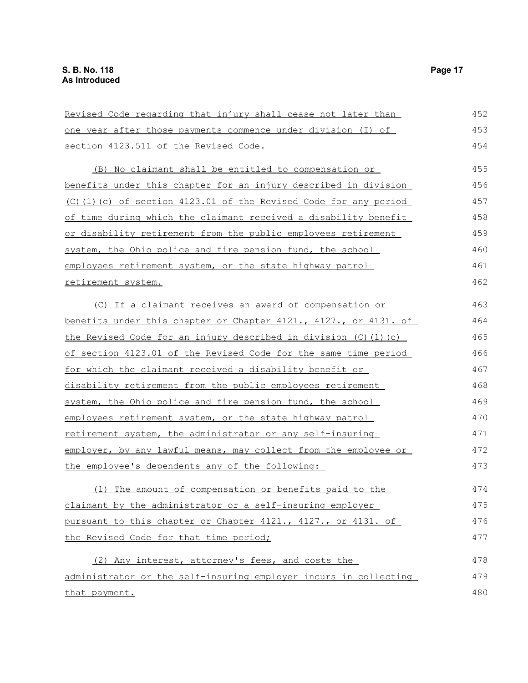| Revised Code regarding that injury shall cease not later than        | 452 |
|----------------------------------------------------------------------|-----|
| <u>one year after those payments commence under division (I) of</u>  | 453 |
| section 4123.511 of the Revised Code.                                | 454 |
| (B) No claimant shall be entitled to compensation or                 | 455 |
| benefits under this chapter for an injury described in division      | 456 |
| (C)(1)(c) of section 4123.01 of the Revised Code for any period      | 457 |
| of time during which the claimant received a disability benefit      | 458 |
| <u>or disability retirement from the public employees retirement</u> | 459 |
| system, the Ohio police and fire pension fund, the school            | 460 |
| employees retirement system, or the state highway patrol             | 461 |
| <u>retirement system.</u>                                            | 462 |
| (C) If a claimant receives an award of compensation or               | 463 |
| benefits under this chapter or Chapter 4121., 4127., or 4131. of     | 464 |
| the Revised Code for an injury described in division (C) (1) (c)     | 465 |
| of section 4123.01 of the Revised Code for the same time period      | 466 |
| for which the claimant received a disability benefit or              | 467 |
| disability retirement from the public employees retirement           | 468 |
| system, the Ohio police and fire pension fund, the school            | 469 |
| employees retirement system, or the state highway patrol             | 470 |
| retirement system, the administrator or any self-insuring            | 471 |
| employer, by any lawful means, may collect from the employee or      | 472 |
| the employee's dependents any of the following:                      | 473 |
| (1) The amount of compensation or benefits paid to the               | 474 |
| claimant by the administrator or a self-insuring employer            | 475 |
| pursuant to this chapter or Chapter 4121., 4127., or 4131. of        | 476 |
| the Revised Code for that time period;                               | 477 |
| (2) Any interest, attorney's fees, and costs the                     | 478 |
| administrator or the self-insuring employer incurs in collecting     | 479 |
| that payment.                                                        | 480 |